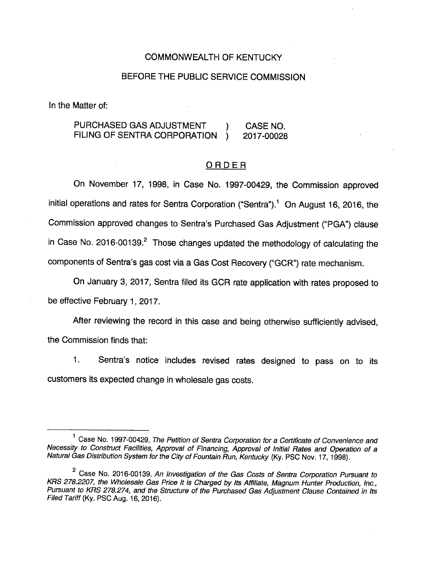#### COMMONWEALTH OF KENTUCKY

### BEFORE THE PUBLIC SERVICE COMMISSION

In the Matter of:

## PURCHASED GAS ADJUSTMENT (and CASE NO. FILING OF SENTRA CORPORATION ) 2017-00028

#### ORDER

On November 17, 1998, in Case No. 1997-00429, the Commission approved initial operations and rates for Sentra Corporation ("Sentra").<sup>1</sup> On August 16, 2016, the Commission approved changes to Sentra's Purchased Gas Adjustment ("PGA") clause in Case No. 2016-00139. $^2$  Those changes updated the methodology of calculating the components of Centra's gas cost via a Gas Cost Recovery ("GCR") rate mechanism.

On January 3, 2017, Sentra filed its GCR rate application with rates proposed to be effective February 1, 2017.

After reviewing the record in this case and being otherwise sufficiently advised. the Commission finds that:

1. Centra's notice includes revised rates designed to pass on to its customers its expected change in wholesale gas costs.

 $1$  Case No. 1997-00429, The Petition of Sentra Corporation for a Certificate of Convenience and Necessity to Construct Facilities, Approval of Financing, Approval of Initial Rates and Operation of a Natural Gas Distribution System for the City of Fountain Run, Kentucky (Ky. PSC Nov. 17, 1998).

<sup>&</sup>lt;sup>2</sup> Case No. 2016-00139, An Investigation of the Gas Costs of Sentra Corporation Pursuant to KRS 278.2207, the Wholesale Gas Price It is Charged by Its Affiliate, Magnum Hunter Production, Inc., Pursuant to KRS 278.274, and the Structure of the Purchased Gas Adjustment Clause Contained in its Filed Tariff (Ky. PSC Aug. 16, 2016).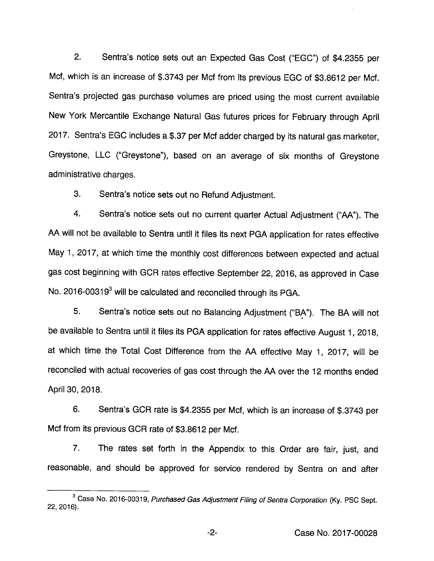2. Sentra's notice sets out an Expected Gas Cost ("EGG") of \$4.2355 per Met, which is an increase of \$.3743 per Mcf from its previous EGG of \$3.8612 per Mcf. Sentra's projected gas purchase volumes are priced using the most current available New York Mercantile Exchange Natural Gas futures prices for February through April 2017. Sentra's EGG Includes a \$.37 per Mcf adder charged by its natural gas marketer, Greystone, LLC ("Greystone"), based on an average of six months of Greystone administrative charges.

3. Sentra's notice sets out no Refund Adjustment.

4. Sentra's notice sets out no current quarter Actual Adjustment ("AA"). The AA will not be available to Sentra until it files its next PGA application for rates effective May 1, 2017, at which time the monthly cost differences between expected and actual gas cost beginning with GGR rates effective September 22, 2016, as approved in Case No. 2016-00319<sup>3</sup> will be calculated and reconciled through its PGA.

5. Sentra's notice sets out no Balancing Adjustment ("BA"). The BA will not be available to Sentra until it files its PGA application for rates effective August 1, 2018, at which time the Total Cost Difference from the AA effective May 1, 2017, will be reconciled with actual recoveries of gas cost through the AA over the 12 months ended April 30, 2018.

6. Sentra's GGR rate is \$4.2355 per Mcf, which is an increase of \$.3743 per Mcf from its previous GGR rate of \$3.8612 per Mcf.

7. The rates set forth in the Appendix to this Order are fair, just, and reasonable, and should be approved for service rendered by Sentra on and after

<sup>&</sup>lt;sup>3</sup> Case No. 2016-00319, Purchased Gas Adjustment Filing of Sentra Corporation (Ky. PSC Sept. 22, 2016).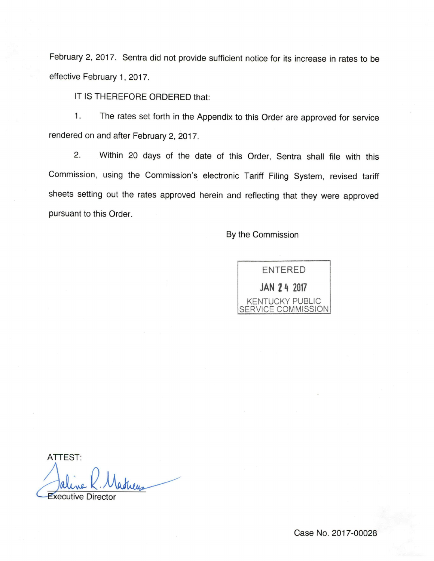February 2, 2017. Sentra did not provide sufficient notice for its increase in rates to be effective February 1, 2017.

IT IS THEREFORE ORDERED that:

1. The rates set forth in the Appendix to this Order are approved for service rendered on and after February 2, 2017.

2. Within 20 days of the date of this Order, Sentra shall file with this Commission, using the Commission's electronic Tariff Filing System, revised tariff sheets setting out the rates approved herein and reflecting that they were approved pursuant to this Order.

By the Commission



ATTEST:

**Executive Director**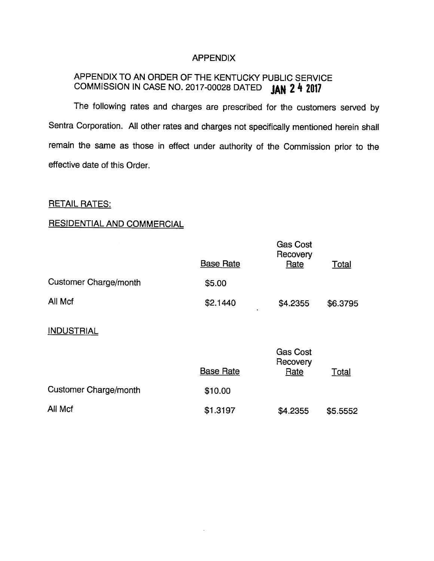#### APPENDIX

# APPENDIX TO AN ORDER OF THE KENTUCKY PUBLIC SERVICE COMMISSION IN CASE NO. 2017-00028 DATED JAN 2 4 2017

The following rates and charges are prescribed for the customers served by Sentra Corporation. All other rates and charges not specifically mentioned herein shall remain the same as those in effect under authority of the Commission prior to the effective date of this Order.

# RETAIL RATES:

# RESIDENTIAL AND COMMERCIAL

|                              | <b>Base Rate</b> | <b>Gas Cost</b><br>Recovery<br>Rate | <b>Total</b> |
|------------------------------|------------------|-------------------------------------|--------------|
| <b>Customer Charge/month</b> | \$5.00           |                                     |              |
| All Mcf                      | \$2.1440         | \$4.2355                            | \$6.3795     |
| <b>INDUSTRIAL</b>            |                  |                                     |              |
|                              | <b>Base Rate</b> | <b>Gas Cost</b><br>Recovery<br>Rate | Total        |
| <b>Customer Charge/month</b> | \$10.00          |                                     |              |
| All Mcf                      | \$1.3197         | \$4.2355                            | \$5.5552     |